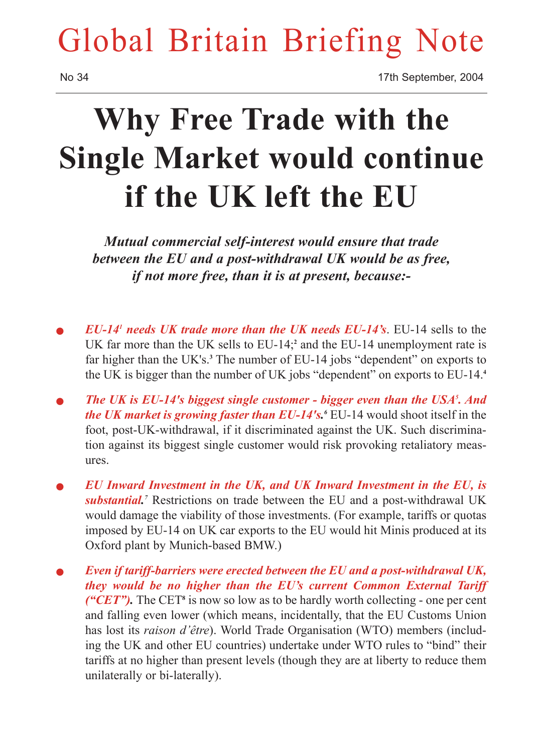## Global Britain Briefing Note

No 34 17th September, 2004

# **Why Free Trade with the Single Market would continue if the UK left the EU**

*Mutual commercial self-interest would ensure that trade between the EU and a post-withdrawal UK would be as free, if not more free, than it is at present, because:-*

- <sup>Q</sup> *EU-141 needs UK trade more than the UK needs EU-14's*. EU-14 sells to the UK far more than the UK sells to EU-14;**<sup>2</sup>** and the EU-14 unemployment rate is far higher than the UK's.**<sup>3</sup>** The number of EU-14 jobs "dependent" on exports to the UK is bigger than the number of UK jobs "dependent" on exports to EU-14.**<sup>4</sup>**
- **The UK is EU-14's biggest single customer bigger even than the USA<sup>5</sup>. And** *the UK market is growing faster than EU-14's. <sup>6</sup>* EU-14 would shoot itself in the foot, post-UK-withdrawal, if it discriminated against the UK. Such discrimination against its biggest single customer would risk provoking retaliatory measures.
- <sup>Q</sup> *EU Inward Investment in the UK, and UK Inward Investment in the EU, is substantial.* Restrictions on trade between the EU and a post-withdrawal UK would damage the viability of those investments. (For example, tariffs or quotas imposed by EU-14 on UK car exports to the EU would hit Minis produced at its Oxford plant by Munich-based BMW.)
- Even if tariff-barriers were erected between the EU and a post-withdrawal UK, *they would be no higher than the EU's current Common External Tariff ("CET")*. The CET<sup>8</sup> is now so low as to be hardly worth collecting - one per cent and falling even lower (which means, incidentally, that the EU Customs Union has lost its *raison d'être*). World Trade Organisation (WTO) members (including the UK and other EU countries) undertake under WTO rules to "bind" their tariffs at no higher than present levels (though they are at liberty to reduce them unilaterally or bi-laterally).